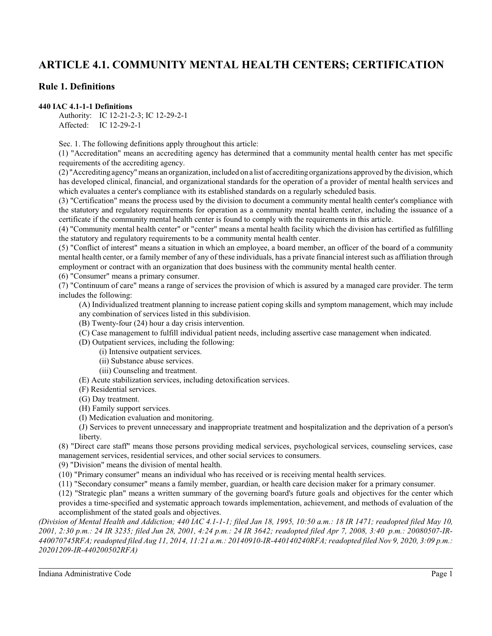# **ARTICLE 4.1. COMMUNITY MENTAL HEALTH CENTERS; CERTIFICATION**

# **Rule 1. Definitions**

#### **440 IAC 4.1-1-1 Definitions**

Authority: IC 12-21-2-3; IC 12-29-2-1 Affected: IC 12-29-2-1

Sec. 1. The following definitions apply throughout this article:

(1) "Accreditation" means an accrediting agency has determined that a community mental health center has met specific requirements of the accrediting agency.

(2) "Accreditingagency"means an organization, included ona list of accrediting organizations approved by the division, which has developed clinical, financial, and organizational standards for the operation of a provider of mental health services and which evaluates a center's compliance with its established standards on a regularly scheduled basis.

(3) "Certification" means the process used by the division to document a community mental health center's compliance with the statutory and regulatory requirements for operation as a community mental health center, including the issuance of a certificate if the community mental health center is found to comply with the requirements in this article.

(4) "Community mental health center" or "center" means a mental health facility which the division has certified as fulfilling the statutory and regulatory requirements to be a community mental health center.

(5) "Conflict of interest" means a situation in which an employee, a board member, an officer of the board of a community mental health center, or a family member of any of these individuals, has a private financial interest such as affiliation through employment or contract with an organization that does business with the community mental health center.

(6) "Consumer" means a primary consumer.

(7) "Continuum of care" means a range of services the provision of which is assured by a managed care provider. The term includes the following:

(A) Individualized treatment planning to increase patient coping skills and symptom management, which may include

- any combination of services listed in this subdivision.
- (B) Twenty-four (24) hour a day crisis intervention.
- (C) Case management to fulfill individual patient needs, including assertive case management when indicated.
- (D) Outpatient services, including the following:
	- (i) Intensive outpatient services.
	- (ii) Substance abuse services.
- (iii) Counseling and treatment.
- (E) Acute stabilization services, including detoxification services.
- (F) Residential services.
- (G) Day treatment.
- (H) Family support services.
- (I) Medication evaluation and monitoring.

(J) Services to prevent unnecessary and inappropriate treatment and hospitalization and the deprivation of a person's liberty.

(8) "Direct care staff" means those persons providing medical services, psychological services, counseling services, case management services, residential services, and other social services to consumers.

(9) "Division" means the division of mental health.

(10) "Primary consumer" means an individual who has received or is receiving mental health services.

(11) "Secondary consumer" means a family member, guardian, or health care decision maker for a primary consumer.

(12) "Strategic plan" means a written summary of the governing board's future goals and objectives for the center which provides a time-specified and systematic approach towards implementation, achievement, and methods of evaluation of the accomplishment of the stated goals and objectives.

*(Division of Mental Health and Addiction; 440 IAC 4.1-1-1; filed Jan 18, 1995, 10:50 a.m.: 18 IR 1471; readopted filed May 10, 2001, 2:30 p.m.: 24 IR 3235; filed Jun 28, 2001, 4:24 p.m.: 24 IR 3642; readopted filed Apr 7, 2008, 3:40 p.m.: 20080507-IR-440070745RFA; readopted filed Aug 11, 2014, 11:21 a.m.: 20140910-IR-440140240RFA; readopted filed Nov 9, 2020, 3:09 p.m.: 20201209-IR-440200502RFA)*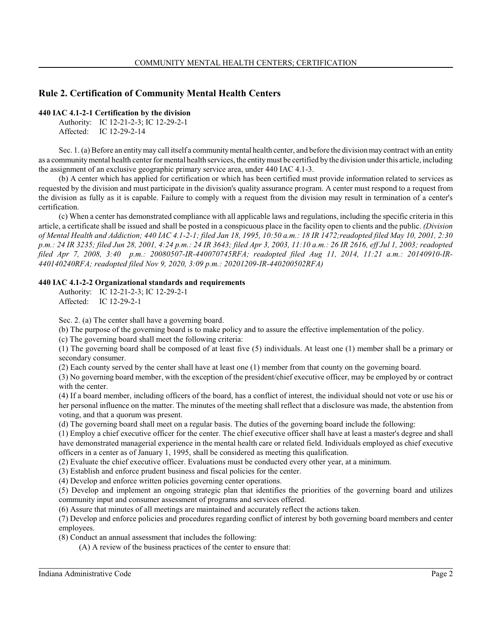# **Rule 2. Certification of Community Mental Health Centers**

# **440 IAC 4.1-2-1 Certification by the division**

Authority: IC 12-21-2-3; IC 12-29-2-1 Affected: IC 12-29-2-14

Sec. 1. (a) Before an entity may call itself a community mental health center, and before the division may contract with an entity as a communitymental health center for mental health services, the entitymust be certified by the division under this article, including the assignment of an exclusive geographic primary service area, under 440 IAC 4.1-3.

(b) A center which has applied for certification or which has been certified must provide information related to services as requested by the division and must participate in the division's quality assurance program. A center must respond to a request from the division as fully as it is capable. Failure to comply with a request from the division may result in termination of a center's certification.

(c) When a center has demonstrated compliance with all applicable laws and regulations, including the specific criteria in this article, a certificate shall be issued and shall be posted in a conspicuous place in the facility open to clients and the public. *(Division of Mental Health and Addiction; 440 IAC 4.1-2-1; filed Jan 18, 1995, 10:50 a.m.: 18 IR 1472;readopted filed May 10, 2001, 2:30 p.m.: 24 IR 3235; filed Jun 28, 2001, 4:24 p.m.: 24 IR 3643; filed Apr 3, 2003, 11:10 a.m.: 26 IR 2616, eff Jul 1, 2003; readopted filed Apr 7, 2008, 3:40 p.m.: 20080507-IR-440070745RFA; readopted filed Aug 11, 2014, 11:21 a.m.: 20140910-IR-440140240RFA; readopted filed Nov 9, 2020, 3:09 p.m.: 20201209-IR-440200502RFA)*

# **440 IAC 4.1-2-2 Organizational standards and requirements**

Authority: IC 12-21-2-3; IC 12-29-2-1 Affected: IC 12-29-2-1

Sec. 2. (a) The center shall have a governing board.

(b) The purpose of the governing board is to make policy and to assure the effective implementation of the policy.

(c) The governing board shall meet the following criteria:

(1) The governing board shall be composed of at least five (5) individuals. At least one (1) member shall be a primary or secondary consumer.

(2) Each county served by the center shall have at least one (1) member from that county on the governing board.

(3) No governing board member, with the exception of the president/chief executive officer, may be employed by or contract with the center.

(4) If a board member, including officers of the board, has a conflict of interest, the individual should not vote or use his or her personal influence on the matter. The minutes of the meeting shall reflect that a disclosure was made, the abstention from voting, and that a quorum was present.

(d) The governing board shall meet on a regular basis. The duties of the governing board include the following:

(1) Employ a chief executive officer for the center. The chief executive officer shall have at least a master's degree and shall have demonstrated managerial experience in the mental health care or related field. Individuals employed as chief executive officers in a center as of January 1, 1995, shall be considered as meeting this qualification.

(2) Evaluate the chief executive officer. Evaluations must be conducted every other year, at a minimum.

(3) Establish and enforce prudent business and fiscal policies for the center.

(4) Develop and enforce written policies governing center operations.

(5) Develop and implement an ongoing strategic plan that identifies the priorities of the governing board and utilizes community input and consumer assessment of programs and services offered.

(6) Assure that minutes of all meetings are maintained and accurately reflect the actions taken.

(7) Develop and enforce policies and procedures regarding conflict of interest by both governing board members and center employees.

(8) Conduct an annual assessment that includes the following:

(A) A review of the business practices of the center to ensure that: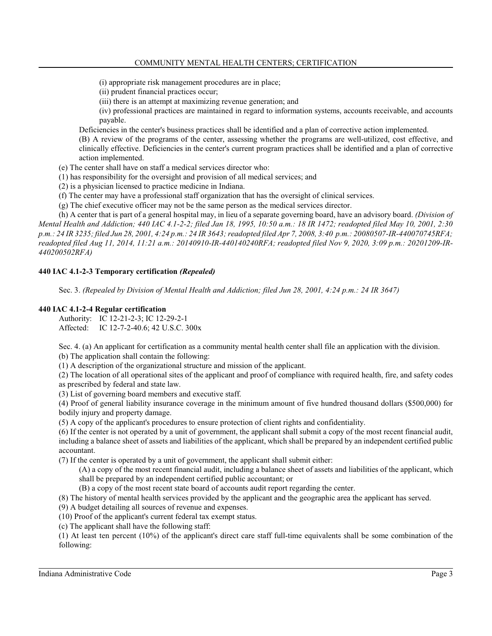(i) appropriate risk management procedures are in place;

- (ii) prudent financial practices occur;
- (iii) there is an attempt at maximizing revenue generation; and

(iv) professional practices are maintained in regard to information systems, accounts receivable, and accounts payable.

Deficiencies in the center's business practices shall be identified and a plan of corrective action implemented.

(B) A review of the programs of the center, assessing whether the programs are well-utilized, cost effective, and clinically effective. Deficiencies in the center's current program practices shall be identified and a plan of corrective action implemented.

- (e) The center shall have on staff a medical services director who:
- (1) has responsibility for the oversight and provision of all medical services; and
- (2) is a physician licensed to practice medicine in Indiana.
- (f) The center may have a professional staff organization that has the oversight of clinical services.

(g) The chief executive officer may not be the same person as the medical services director.

(h) A center that is part of a general hospital may, in lieu of a separate governing board, have an advisory board. *(Division of Mental Health and Addiction; 440 IAC 4.1-2-2; filed Jan 18, 1995, 10:50 a.m.: 18 IR 1472; readopted filed May 10, 2001, 2:30 p.m.: 24 IR 3235; filed Jun 28, 2001, 4:24 p.m.: 24 IR 3643; readopted filed Apr 7, 2008, 3:40 p.m.: 20080507-IR-440070745RFA; readopted filed Aug 11, 2014, 11:21 a.m.: 20140910-IR-440140240RFA; readopted filed Nov 9, 2020, 3:09 p.m.: 20201209-IR-440200502RFA)*

#### **440 IAC 4.1-2-3 Temporary certification** *(Repealed)*

Sec. 3. *(Repealed by Division of Mental Health and Addiction; filed Jun 28, 2001, 4:24 p.m.: 24 IR 3647)*

#### **440 IAC 4.1-2-4 Regular certification**

Authority: IC 12-21-2-3; IC 12-29-2-1 Affected: IC 12-7-2-40.6; 42 U.S.C. 300x

Sec. 4. (a) An applicant for certification as a community mental health center shall file an application with the division. (b) The application shall contain the following:

(1) A description of the organizational structure and mission of the applicant.

(2) The location of all operational sites of the applicant and proof of compliance with required health, fire, and safety codes as prescribed by federal and state law.

(3) List of governing board members and executive staff.

(4) Proof of general liability insurance coverage in the minimum amount of five hundred thousand dollars (\$500,000) for bodily injury and property damage.

(5) A copy of the applicant's procedures to ensure protection of client rights and confidentiality.

(6) If the center is not operated by a unit of government, the applicant shall submit a copy of the most recent financial audit, including a balance sheet of assets and liabilities of the applicant, which shall be prepared by an independent certified public accountant.

(7) If the center is operated by a unit of government, the applicant shall submit either:

(A) a copy of the most recent financial audit, including a balance sheet of assets and liabilities of the applicant, which shall be prepared by an independent certified public accountant; or

(B) a copy of the most recent state board of accounts audit report regarding the center.

(8) The history of mental health services provided by the applicant and the geographic area the applicant has served.

(9) A budget detailing all sources of revenue and expenses.

(10) Proof of the applicant's current federal tax exempt status.

(c) The applicant shall have the following staff:

(1) At least ten percent (10%) of the applicant's direct care staff full-time equivalents shall be some combination of the following: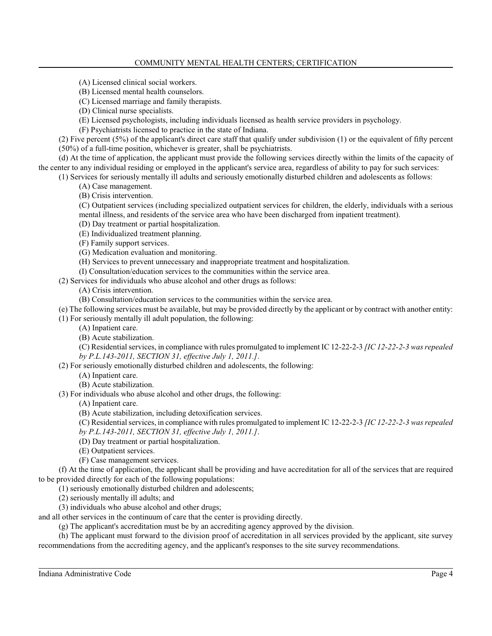- (A) Licensed clinical social workers.
- (B) Licensed mental health counselors.
- (C) Licensed marriage and family therapists.
- (D) Clinical nurse specialists.
- (E) Licensed psychologists, including individuals licensed as health service providers in psychology.

(F) Psychiatrists licensed to practice in the state of Indiana.

(2) Five percent (5%) of the applicant's direct care staff that qualify under subdivision (1) or the equivalent of fifty percent (50%) of a full-time position, whichever is greater, shall be psychiatrists.

(d) At the time of application, the applicant must provide the following services directly within the limits of the capacity of the center to any individual residing or employed in the applicant's service area, regardless of ability to pay for such services:

(1) Services for seriously mentally ill adults and seriously emotionally disturbed children and adolescents as follows:

- (A) Case management.
- (B) Crisis intervention.

(C) Outpatient services (including specialized outpatient services for children, the elderly, individuals with a serious mental illness, and residents of the service area who have been discharged from inpatient treatment).

- (D) Day treatment or partial hospitalization.
- (E) Individualized treatment planning.
- (F) Family support services.
- (G) Medication evaluation and monitoring.
- (H) Services to prevent unnecessary and inappropriate treatment and hospitalization.
- (I) Consultation/education services to the communities within the service area.

(2) Services for individuals who abuse alcohol and other drugs as follows:

- (A) Crisis intervention.
- (B) Consultation/education services to the communities within the service area.

(e) The following services must be available, but may be provided directly by the applicant or by contract with another entity: (1) For seriously mentally ill adult population, the following:

- (A) Inpatient care.
- (B) Acute stabilization.
- (C) Residential services, in compliance with rules promulgated to implement IC 12-22-2-3 *[IC 12-22-2-3 was repealed*
- *by P.L.143-2011, SECTION 31, effective July 1, 2011.]*. (2) For seriously emotionally disturbed children and adolescents, the following:
	- (A) Inpatient care.
	- (B) Acute stabilization.
- (3) For individuals who abuse alcohol and other drugs, the following:

(A) Inpatient care.

(B) Acute stabilization, including detoxification services.

(C) Residential services, in compliance with rules promulgated to implement IC 12-22-2-3 *[IC 12-22-2-3 was repealed by P.L.143-2011, SECTION 31, effective July 1, 2011.]*.

- (D) Day treatment or partial hospitalization.
- (E) Outpatient services.
- (F) Case management services.

(f) At the time of application, the applicant shall be providing and have accreditation for all of the services that are required to be provided directly for each of the following populations:

- (1) seriously emotionally disturbed children and adolescents;
- (2) seriously mentally ill adults; and
- (3) individuals who abuse alcohol and other drugs;

and all other services in the continuum of care that the center is providing directly.

(g) The applicant's accreditation must be by an accrediting agency approved by the division.

(h) The applicant must forward to the division proof of accreditation in all services provided by the applicant, site survey recommendations from the accrediting agency, and the applicant's responses to the site survey recommendations.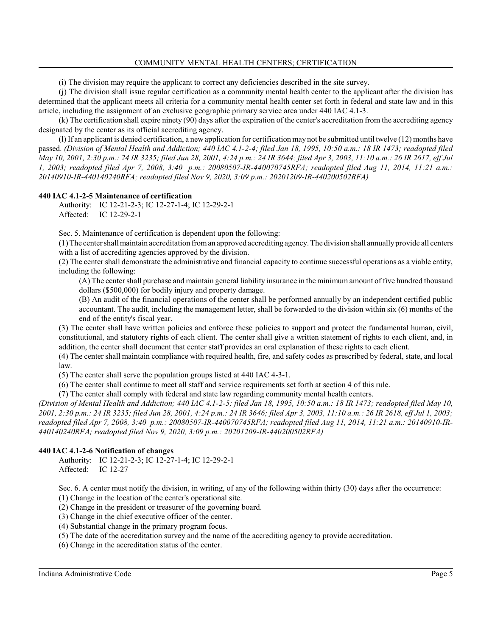(i) The division may require the applicant to correct any deficiencies described in the site survey.

(j) The division shall issue regular certification as a community mental health center to the applicant after the division has determined that the applicant meets all criteria for a community mental health center set forth in federal and state law and in this article, including the assignment of an exclusive geographic primary service area under 440 IAC 4.1-3.

(k) The certification shall expire ninety (90) days after the expiration of the center's accreditation from the accrediting agency designated by the center as its official accrediting agency.

(l) If an applicant is denied certification, a newapplication for certification may not be submitted until twelve (12) months have passed. *(Division of Mental Health and Addiction; 440 IAC 4.1-2-4; filed Jan 18, 1995, 10:50 a.m.: 18 IR 1473; readopted filed May 10, 2001, 2:30 p.m.: 24 IR 3235; filed Jun 28, 2001, 4:24 p.m.: 24 IR 3644; filed Apr 3, 2003, 11:10 a.m.: 26 IR 2617, eff Jul 1, 2003; readopted filed Apr 7, 2008, 3:40 p.m.: 20080507-IR-440070745RFA; readopted filed Aug 11, 2014, 11:21 a.m.: 20140910-IR-440140240RFA; readopted filed Nov 9, 2020, 3:09 p.m.: 20201209-IR-440200502RFA)*

# **440 IAC 4.1-2-5 Maintenance of certification**

Authority: IC 12-21-2-3; IC 12-27-1-4; IC 12-29-2-1 Affected: IC 12-29-2-1

Sec. 5. Maintenance of certification is dependent upon the following:

(1) The center shall maintain accreditation froman approved accrediting agency. The division shall annuallyprovide all centers with a list of accrediting agencies approved by the division.

(2) The center shall demonstrate the administrative and financial capacity to continue successful operations as a viable entity, including the following:

(A) The center shall purchase and maintain general liability insurance in the minimum amount of five hundred thousand dollars (\$500,000) for bodily injury and property damage.

(B) An audit of the financial operations of the center shall be performed annually by an independent certified public accountant. The audit, including the management letter, shall be forwarded to the division within six (6) months of the end of the entity's fiscal year.

(3) The center shall have written policies and enforce these policies to support and protect the fundamental human, civil, constitutional, and statutory rights of each client. The center shall give a written statement of rights to each client, and, in addition, the center shall document that center staff provides an oral explanation of these rights to each client.

(4) The center shall maintain compliance with required health, fire, and safety codes as prescribed by federal, state, and local law.

(5) The center shall serve the population groups listed at 440 IAC 4-3-1.

(6) The center shall continue to meet all staff and service requirements set forth at section 4 of this rule.

(7) The center shall comply with federal and state law regarding community mental health centers.

*(Division of Mental Health and Addiction; 440 IAC 4.1-2-5; filed Jan 18, 1995, 10:50 a.m.: 18 IR 1473; readopted filed May 10, 2001, 2:30 p.m.: 24 IR 3235; filed Jun 28, 2001, 4:24 p.m.: 24 IR 3646; filed Apr 3, 2003, 11:10 a.m.: 26 IR 2618, eff Jul 1, 2003; readopted filed Apr 7, 2008, 3:40 p.m.: 20080507-IR-440070745RFA; readopted filed Aug 11, 2014, 11:21 a.m.: 20140910-IR-440140240RFA; readopted filed Nov 9, 2020, 3:09 p.m.: 20201209-IR-440200502RFA)*

# **440 IAC 4.1-2-6 Notification of changes**

Authority: IC 12-21-2-3; IC 12-27-1-4; IC 12-29-2-1 Affected: IC 12-27

Sec. 6. A center must notify the division, in writing, of any of the following within thirty (30) days after the occurrence:

(1) Change in the location of the center's operational site.

(2) Change in the president or treasurer of the governing board.

(3) Change in the chief executive officer of the center.

(4) Substantial change in the primary program focus.

(5) The date of the accreditation survey and the name of the accrediting agency to provide accreditation.

(6) Change in the accreditation status of the center.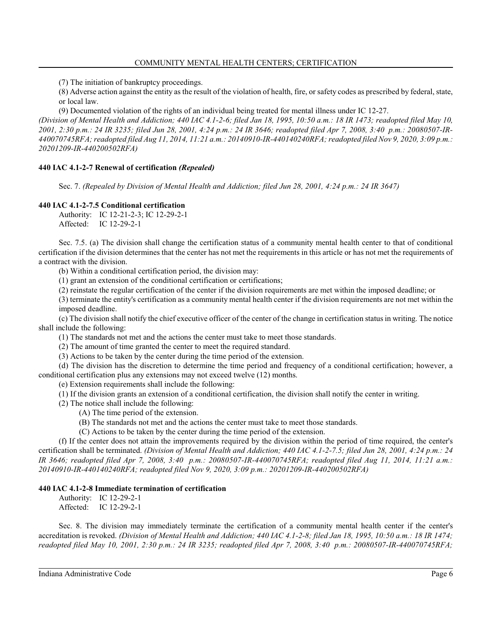(7) The initiation of bankruptcy proceedings.

(8) Adverse action against the entity as the result of the violation of health, fire, or safety codes as prescribed by federal, state, or local law.

(9) Documented violation of the rights of an individual being treated for mental illness under IC 12-27.

*(Division of Mental Health and Addiction; 440 IAC 4.1-2-6; filed Jan 18, 1995, 10:50 a.m.: 18 IR 1473; readopted filed May 10, 2001, 2:30 p.m.: 24 IR 3235; filed Jun 28, 2001, 4:24 p.m.: 24 IR 3646; readopted filed Apr 7, 2008, 3:40 p.m.: 20080507-IR-440070745RFA; readopted filed Aug 11, 2014, 11:21 a.m.: 20140910-IR-440140240RFA; readopted filed Nov 9, 2020, 3:09 p.m.: 20201209-IR-440200502RFA)*

# **440 IAC 4.1-2-7 Renewal of certification** *(Repealed)*

Sec. 7. *(Repealed by Division of Mental Health and Addiction; filed Jun 28, 2001, 4:24 p.m.: 24 IR 3647)*

#### **440 IAC 4.1-2-7.5 Conditional certification**

Authority: IC 12-21-2-3; IC 12-29-2-1 Affected: IC 12-29-2-1

Sec. 7.5. (a) The division shall change the certification status of a community mental health center to that of conditional certification if the division determines that the center has not met the requirements in this article or has not met the requirements of a contract with the division.

(b) Within a conditional certification period, the division may:

(1) grant an extension of the conditional certification or certifications;

(2) reinstate the regular certification of the center if the division requirements are met within the imposed deadline; or

(3) terminate the entity's certification as a community mental health center if the division requirements are not met within the imposed deadline.

(c) The division shall notify the chief executive officer of the center of the change in certification statusin writing. The notice shall include the following:

(1) The standards not met and the actions the center must take to meet those standards.

(2) The amount of time granted the center to meet the required standard.

(3) Actions to be taken by the center during the time period of the extension.

(d) The division has the discretion to determine the time period and frequency of a conditional certification; however, a conditional certification plus any extensions may not exceed twelve (12) months.

(e) Extension requirements shall include the following:

(1) If the division grants an extension of a conditional certification, the division shall notify the center in writing.

(2) The notice shall include the following:

(A) The time period of the extension.

(B) The standards not met and the actions the center must take to meet those standards.

(C) Actions to be taken by the center during the time period of the extension.

(f) If the center does not attain the improvements required by the division within the period of time required, the center's certification shall be terminated. *(Division of Mental Health and Addiction; 440 IAC 4.1-2-7.5; filed Jun 28, 2001, 4:24 p.m.: 24 IR 3646; readopted filed Apr 7, 2008, 3:40 p.m.: 20080507-IR-440070745RFA; readopted filed Aug 11, 2014, 11:21 a.m.: 20140910-IR-440140240RFA; readopted filed Nov 9, 2020, 3:09 p.m.: 20201209-IR-440200502RFA)*

# **440 IAC 4.1-2-8 Immediate termination of certification**

Authority: IC 12-29-2-1 Affected: IC 12-29-2-1

Sec. 8. The division may immediately terminate the certification of a community mental health center if the center's accreditation is revoked. *(Division of Mental Health and Addiction; 440 IAC 4.1-2-8; filed Jan 18, 1995, 10:50 a.m.: 18 IR 1474; readopted filed May 10, 2001, 2:30 p.m.: 24 IR 3235; readopted filed Apr 7, 2008, 3:40 p.m.: 20080507-IR-440070745RFA;*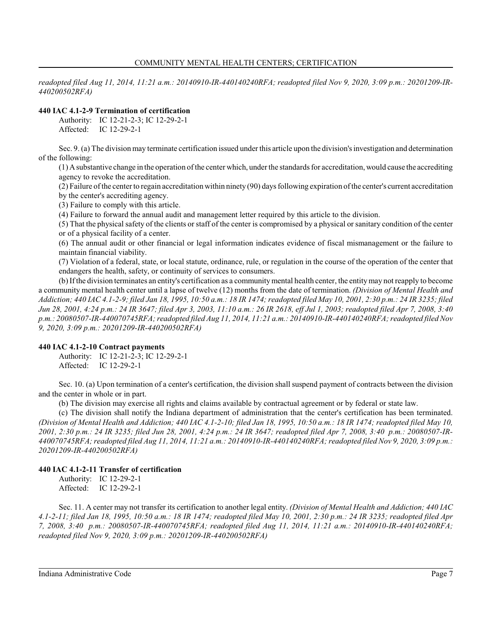*readopted filed Aug 11, 2014, 11:21 a.m.: 20140910-IR-440140240RFA; readopted filed Nov 9, 2020, 3:09 p.m.: 20201209-IR-440200502RFA)*

# **440 IAC 4.1-2-9 Termination of certification**

Authority: IC 12-21-2-3; IC 12-29-2-1 Affected: IC 12-29-2-1

Sec. 9. (a) The division may terminate certification issued under this article upon the division's investigation and determination of the following:

(1) Asubstantive change in the operation of the center which, underthe standards for accreditation, would cause the accrediting agency to revoke the accreditation.

(2) Failure of the center to regain accreditation within ninety (90) days following expiration of the center's current accreditation by the center's accrediting agency.

(3) Failure to comply with this article.

(4) Failure to forward the annual audit and management letter required by this article to the division.

(5) That the physical safety of the clients or staff of the center is compromised by a physical or sanitary condition of the center or of a physical facility of a center.

(6) The annual audit or other financial or legal information indicates evidence of fiscal mismanagement or the failure to maintain financial viability.

(7) Violation of a federal, state, or local statute, ordinance, rule, or regulation in the course of the operation of the center that endangers the health, safety, or continuity of services to consumers.

(b) If the division terminates an entity's certification as a communitymental health center, the entitymay not reapply to become a community mental health center until a lapse of twelve (12) months from the date of termination. *(Division of Mental Health and Addiction; 440 IAC 4.1-2-9; filed Jan 18, 1995, 10:50 a.m.: 18 IR 1474; readopted filed May 10, 2001, 2:30 p.m.: 24 IR 3235; filed Jun 28, 2001, 4:24 p.m.: 24 IR 3647; filed Apr 3, 2003, 11:10 a.m.: 26 IR 2618, eff Jul 1, 2003; readopted filed Apr 7, 2008, 3:40 p.m.: 20080507-IR-440070745RFA; readopted filed Aug 11, 2014, 11:21 a.m.: 20140910-IR-440140240RFA; readopted filed Nov 9, 2020, 3:09 p.m.: 20201209-IR-440200502RFA)*

# **440 IAC 4.1-2-10 Contract payments**

Authority: IC 12-21-2-3; IC 12-29-2-1 Affected: IC 12-29-2-1

Sec. 10. (a) Upon termination of a center's certification, the division shall suspend payment of contracts between the division and the center in whole or in part.

(b) The division may exercise all rights and claims available by contractual agreement or by federal or state law.

(c) The division shall notify the Indiana department of administration that the center's certification has been terminated. *(Division of Mental Health and Addiction; 440 IAC 4.1-2-10; filed Jan 18, 1995, 10:50 a.m.: 18 IR 1474; readopted filed May 10, 2001, 2:30 p.m.: 24 IR 3235; filed Jun 28, 2001, 4:24 p.m.: 24 IR 3647; readopted filed Apr 7, 2008, 3:40 p.m.: 20080507-IR-440070745RFA; readopted filed Aug 11, 2014, 11:21 a.m.: 20140910-IR-440140240RFA; readopted filed Nov 9, 2020, 3:09 p.m.: 20201209-IR-440200502RFA)*

# **440 IAC 4.1-2-11 Transfer of certification**

Authority: IC 12-29-2-1 Affected: IC 12-29-2-1

Sec. 11. A center may not transfer its certification to another legal entity. *(Division of Mental Health and Addiction; 440 IAC 4.1-2-11; filed Jan 18, 1995, 10:50 a.m.: 18 IR 1474; readopted filed May 10, 2001, 2:30 p.m.: 24 IR 3235; readopted filed Apr 7, 2008, 3:40 p.m.: 20080507-IR-440070745RFA; readopted filed Aug 11, 2014, 11:21 a.m.: 20140910-IR-440140240RFA; readopted filed Nov 9, 2020, 3:09 p.m.: 20201209-IR-440200502RFA)*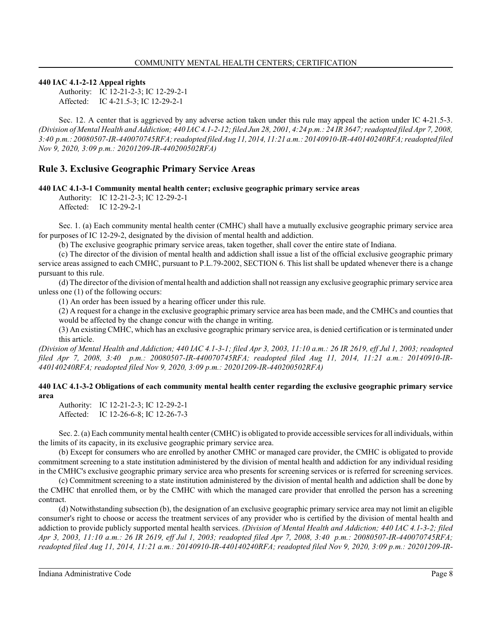# **440 IAC 4.1-2-12 Appeal rights**

Authority: IC 12-21-2-3; IC 12-29-2-1 Affected: IC 4-21.5-3; IC 12-29-2-1

Sec. 12. A center that is aggrieved by any adverse action taken under this rule may appeal the action under IC 4-21.5-3. *(Division of Mental Health and Addiction; 440 IAC 4.1-2-12; filed Jun 28, 2001, 4:24 p.m.: 24 IR 3647; readopted filed Apr 7, 2008, 3:40 p.m.: 20080507-IR-440070745RFA; readopted filed Aug 11, 2014, 11:21 a.m.: 20140910-IR-440140240RFA; readopted filed Nov 9, 2020, 3:09 p.m.: 20201209-IR-440200502RFA)*

# **Rule 3. Exclusive Geographic Primary Service Areas**

**440 IAC 4.1-3-1 Community mental health center; exclusive geographic primary service areas**

Authority: IC 12-21-2-3; IC 12-29-2-1 Affected: IC 12-29-2-1

Sec. 1. (a) Each community mental health center (CMHC) shall have a mutually exclusive geographic primary service area for purposes of IC 12-29-2, designated by the division of mental health and addiction.

(b) The exclusive geographic primary service areas, taken together, shall cover the entire state of Indiana.

(c) The director of the division of mental health and addiction shall issue a list of the official exclusive geographic primary service areas assigned to each CMHC, pursuant to P.L.79-2002, SECTION 6. This list shall be updated whenever there is a change pursuant to this rule.

(d) The director of the division of mental health and addiction shall not reassign any exclusive geographic primary service area unless one (1) of the following occurs:

(1) An order has been issued by a hearing officer under this rule.

(2) A request for a change in the exclusive geographic primary service area has been made, and the CMHCs and counties that would be affected by the change concur with the change in writing.

(3) An existing CMHC, which has an exclusive geographic primary service area, is denied certification or is terminated under this article.

*(Division of Mental Health and Addiction; 440 IAC 4.1-3-1; filed Apr 3, 2003, 11:10 a.m.: 26 IR 2619, eff Jul 1, 2003; readopted filed Apr 7, 2008, 3:40 p.m.: 20080507-IR-440070745RFA; readopted filed Aug 11, 2014, 11:21 a.m.: 20140910-IR-440140240RFA; readopted filed Nov 9, 2020, 3:09 p.m.: 20201209-IR-440200502RFA)*

# **440 IAC 4.1-3-2 Obligations of each community mental health center regarding the exclusive geographic primary service area**

Authority: IC 12-21-2-3; IC 12-29-2-1 Affected: IC 12-26-6-8; IC 12-26-7-3

Sec. 2. (a) Each community mental health center (CMHC) is obligated to provide accessible services for all individuals, within the limits of its capacity, in its exclusive geographic primary service area.

(b) Except for consumers who are enrolled by another CMHC or managed care provider, the CMHC is obligated to provide commitment screening to a state institution administered by the division of mental health and addiction for any individual residing in the CMHC's exclusive geographic primary service area who presents for screening services or is referred for screening services.

(c) Commitment screening to a state institution administered by the division of mental health and addiction shall be done by the CMHC that enrolled them, or by the CMHC with which the managed care provider that enrolled the person has a screening contract.

(d) Notwithstanding subsection (b), the designation of an exclusive geographic primary service area may not limit an eligible consumer's right to choose or access the treatment services of any provider who is certified by the division of mental health and addiction to provide publicly supported mental health services. *(Division of Mental Health and Addiction; 440 IAC 4.1-3-2; filed Apr 3, 2003, 11:10 a.m.: 26 IR 2619, eff Jul 1, 2003; readopted filed Apr 7, 2008, 3:40 p.m.: 20080507-IR-440070745RFA; readopted filed Aug 11, 2014, 11:21 a.m.: 20140910-IR-440140240RFA; readopted filed Nov 9, 2020, 3:09 p.m.: 20201209-IR-*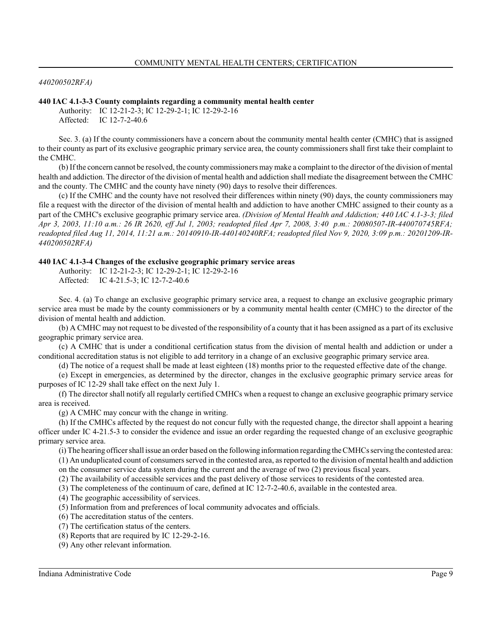#### *440200502RFA)*

#### **440 IAC 4.1-3-3 County complaints regarding a community mental health center**

Authority: IC 12-21-2-3; IC 12-29-2-1; IC 12-29-2-16 Affected: IC 12-7-2-40.6

Sec. 3. (a) If the county commissioners have a concern about the community mental health center (CMHC) that is assigned to their county as part of its exclusive geographic primary service area, the county commissioners shall first take their complaint to the CMHC.

(b) If the concern cannot be resolved, the county commissioners may make a complaint to the director of the division of mental health and addiction. The director of the division of mental health and addiction shall mediate the disagreement between the CMHC and the county. The CMHC and the county have ninety (90) days to resolve their differences.

(c) If the CMHC and the county have not resolved their differences within ninety (90) days, the county commissioners may file a request with the director of the division of mental health and addiction to have another CMHC assigned to their county as a part of the CMHC's exclusive geographic primary service area. *(Division of Mental Health and Addiction; 440 IAC 4.1-3-3; filed Apr 3, 2003, 11:10 a.m.: 26 IR 2620, eff Jul 1, 2003; readopted filed Apr 7, 2008, 3:40 p.m.: 20080507-IR-440070745RFA; readopted filed Aug 11, 2014, 11:21 a.m.: 20140910-IR-440140240RFA; readopted filed Nov 9, 2020, 3:09 p.m.: 20201209-IR-440200502RFA)*

#### **440 IAC 4.1-3-4 Changes of the exclusive geographic primary service areas**

Authority: IC 12-21-2-3; IC 12-29-2-1; IC 12-29-2-16 Affected: IC 4-21.5-3; IC 12-7-2-40.6

Sec. 4. (a) To change an exclusive geographic primary service area, a request to change an exclusive geographic primary service area must be made by the county commissioners or by a community mental health center (CMHC) to the director of the division of mental health and addiction.

(b) A CMHC may not request to be divested of the responsibility of a county that it has been assigned as a part of its exclusive geographic primary service area.

(c) A CMHC that is under a conditional certification status from the division of mental health and addiction or under a conditional accreditation status is not eligible to add territory in a change of an exclusive geographic primary service area.

(d) The notice of a request shall be made at least eighteen (18) months prior to the requested effective date of the change.

(e) Except in emergencies, as determined by the director, changes in the exclusive geographic primary service areas for purposes of IC 12-29 shall take effect on the next July 1.

(f) The director shall notify all regularly certified CMHCs when a request to change an exclusive geographic primary service area is received.

(g) A CMHC may concur with the change in writing.

(h) If the CMHCs affected by the request do not concur fully with the requested change, the director shall appoint a hearing officer under IC 4-21.5-3 to consider the evidence and issue an order regarding the requested change of an exclusive geographic primary service area.

(i) The hearing officer shall issue an order based on the following information regarding the CMHCs serving the contested area:

(1) An unduplicated count of consumers served in the contested area, as reported to the division of mental health and addiction on the consumer service data system during the current and the average of two (2) previous fiscal years.

(2) The availability of accessible services and the past delivery of those services to residents of the contested area.

(3) The completeness of the continuum of care, defined at IC 12-7-2-40.6, available in the contested area.

(4) The geographic accessibility of services.

(5) Information from and preferences of local community advocates and officials.

(6) The accreditation status of the centers.

(7) The certification status of the centers.

(8) Reports that are required by IC 12-29-2-16.

(9) Any other relevant information.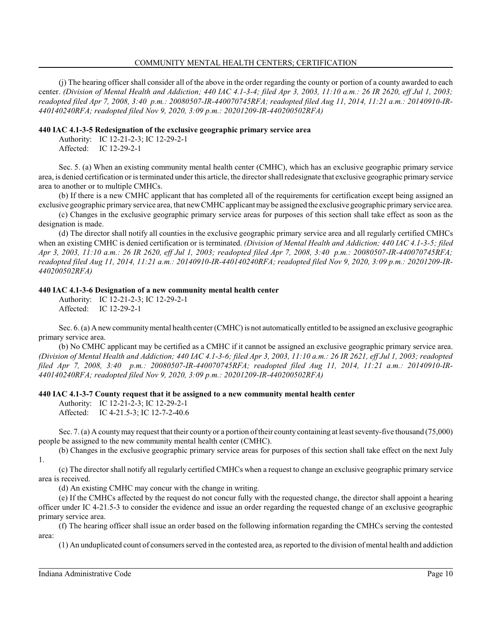#### COMMUNITY MENTAL HEALTH CENTERS; CERTIFICATION

(j) The hearing officer shall consider all of the above in the order regarding the county or portion of a county awarded to each center. *(Division of Mental Health and Addiction; 440 IAC 4.1-3-4; filed Apr 3, 2003, 11:10 a.m.: 26 IR 2620, eff Jul 1, 2003; readopted filed Apr 7, 2008, 3:40 p.m.: 20080507-IR-440070745RFA; readopted filed Aug 11, 2014, 11:21 a.m.: 20140910-IR-440140240RFA; readopted filed Nov 9, 2020, 3:09 p.m.: 20201209-IR-440200502RFA)*

#### **440 IAC 4.1-3-5 Redesignation of the exclusive geographic primary service area**

Authority: IC 12-21-2-3; IC 12-29-2-1 Affected: IC 12-29-2-1

Sec. 5. (a) When an existing community mental health center (CMHC), which has an exclusive geographic primary service area, is denied certification or is terminated under this article, the directorshall redesignate that exclusive geographic primary service area to another or to multiple CMHCs.

(b) If there is a new CMHC applicant that has completed all of the requirements for certification except being assigned an exclusive geographic primary service area, that newCMHC applicant may be assigned the exclusive geographic primary service area.

(c) Changes in the exclusive geographic primary service areas for purposes of this section shall take effect as soon as the designation is made.

(d) The director shall notify all counties in the exclusive geographic primary service area and all regularly certified CMHCs when an existing CMHC is denied certification or is terminated. *(Division of Mental Health and Addiction; 440 IAC 4.1-3-5; filed Apr 3, 2003, 11:10 a.m.: 26 IR 2620, eff Jul 1, 2003; readopted filed Apr 7, 2008, 3:40 p.m.: 20080507-IR-440070745RFA; readopted filed Aug 11, 2014, 11:21 a.m.: 20140910-IR-440140240RFA; readopted filed Nov 9, 2020, 3:09 p.m.: 20201209-IR-440200502RFA)*

#### **440 IAC 4.1-3-6 Designation of a new community mental health center**

Authority: IC 12-21-2-3; IC 12-29-2-1 Affected: IC 12-29-2-1

Sec. 6. (a) A new community mental health center (CMHC) is not automatically entitled to be assigned an exclusive geographic primary service area.

(b) No CMHC applicant may be certified as a CMHC if it cannot be assigned an exclusive geographic primary service area. *(Division of Mental Health and Addiction; 440 IAC 4.1-3-6; filed Apr 3, 2003, 11:10 a.m.: 26 IR 2621, eff Jul 1, 2003; readopted filed Apr 7, 2008, 3:40 p.m.: 20080507-IR-440070745RFA; readopted filed Aug 11, 2014, 11:21 a.m.: 20140910-IR-440140240RFA; readopted filed Nov 9, 2020, 3:09 p.m.: 20201209-IR-440200502RFA)*

# **440 IAC 4.1-3-7 County request that it be assigned to a new community mental health center**

Authority: IC 12-21-2-3; IC 12-29-2-1

Affected: IC 4-21.5-3; IC 12-7-2-40.6

Sec. 7. (a) A countymay request that their county or a portion of their county containing at least seventy-five thousand (75,000) people be assigned to the new community mental health center (CMHC).

(b) Changes in the exclusive geographic primary service areas for purposes of this section shall take effect on the next July 1.

(c) The director shall notify all regularly certified CMHCs when a request to change an exclusive geographic primary service area is received.

(d) An existing CMHC may concur with the change in writing.

(e) If the CMHCs affected by the request do not concur fully with the requested change, the director shall appoint a hearing officer under IC 4-21.5-3 to consider the evidence and issue an order regarding the requested change of an exclusive geographic primary service area.

(f) The hearing officer shall issue an order based on the following information regarding the CMHCs serving the contested area:

(1) An unduplicated count of consumers served in the contested area, as reported to the division of mental health and addiction